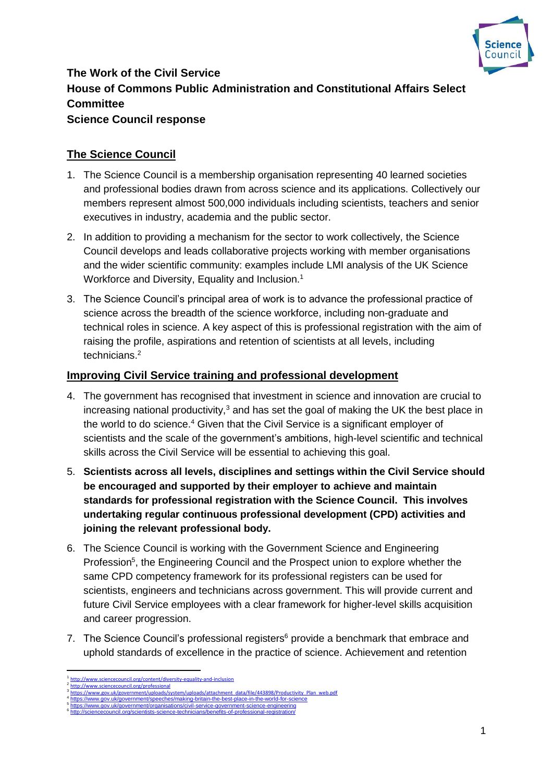

# **The Work of the Civil Service House of Commons Public Administration and Constitutional Affairs Select Committee Science Council response**

## **The Science Council**

- 1. The Science Council is a membership organisation representing 40 learned societies and professional bodies drawn from across science and its applications. Collectively our members represent almost 500,000 individuals including scientists, teachers and senior executives in industry, academia and the public sector.
- 2. In addition to providing a mechanism for the sector to work collectively, the Science Council develops and leads collaborative projects working with member organisations and the wider scientific community: examples include LMI analysis of the UK Science Workforce and Diversity, Equality and Inclusion.<sup>1</sup>
- 3. The Science Council's principal area of work is to advance the professional practice of science across the breadth of the science workforce, including non-graduate and technical roles in science. A key aspect of this is professional registration with the aim of raising the profile, aspirations and retention of scientists at all levels, including technicians. 2

#### **Improving Civil Service training and professional development**

- 4. The government has recognised that investment in science and innovation are crucial to increasing national productivity, $3$  and has set the goal of making the UK the best place in the world to do science.<sup>4</sup> Given that the Civil Service is a significant employer of scientists and the scale of the government's ambitions, high-level scientific and technical skills across the Civil Service will be essential to achieving this goal.
- 5. **Scientists across all levels, disciplines and settings within the Civil Service should be encouraged and supported by their employer to achieve and maintain standards for professional registration with the Science Council. This involves undertaking regular continuous professional development (CPD) activities and joining the relevant professional body.**
- 6. The Science Council is working with the Government Science and Engineering Profession<sup>5</sup>, the Engineering Council and the Prospect union to explore whether the same CPD competency framework for its professional registers can be used for scientists, engineers and technicians across government. This will provide current and future Civil Service employees with a clear framework for higher-level skills acquisition and career progression.
- 7. The Science Council's professional registers $6$  provide a benchmark that embrace and uphold standards of excellence in the practice of science. Achievement and retention

 $\overline{a}$ 

<sup>1</sup> http://www.sciencecouncil.org/content/div 2 <http://www.sciencecouncil.org/professional>

<sup>3</sup> [https://www.gov.uk/government/uploads/system/uploads/attachment\\_data/file/443898/Productivity\\_Plan\\_web.pdf](https://www.gov.uk/government/uploads/system/uploads/attachment_data/file/443898/Productivity_Plan_web.pdf)

<sup>4</sup> <https://www.gov.uk/government/speeches/making-britain-the-best-place-in-the-world-for-science> 5 <https://www.gov.uk/government/organisations/civil-service-government-science-engineering>

<sup>6</sup> <http://sciencecouncil.org/scientists-science-technicians/benefits-of-professional-registration/>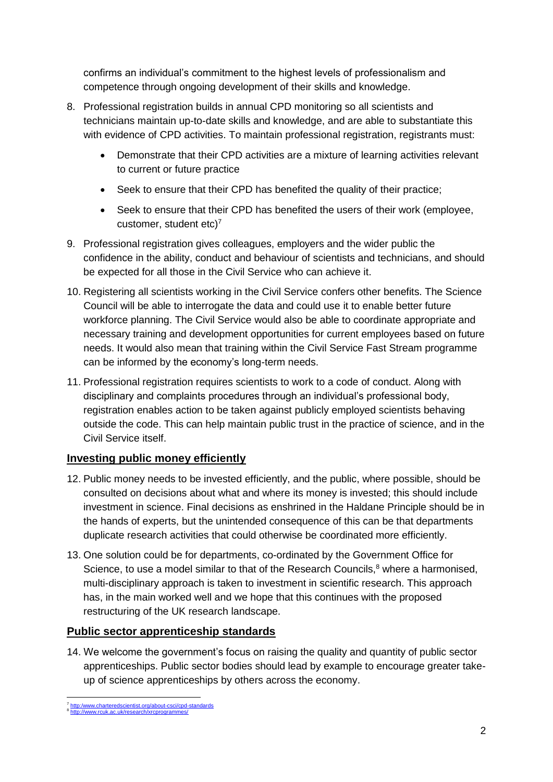confirms an individual's commitment to the highest levels of professionalism and competence through ongoing development of their skills and knowledge.

- 8. Professional registration builds in annual CPD monitoring so all scientists and technicians maintain up-to-date skills and knowledge, and are able to substantiate this with evidence of CPD activities. To maintain professional registration, registrants must:
	- Demonstrate that their CPD activities are a mixture of learning activities relevant to current or future practice
	- Seek to ensure that their CPD has benefited the quality of their practice:
	- Seek to ensure that their CPD has benefited the users of their work (employee, customer, student etc) $<sup>7</sup>$ </sup>
- 9. Professional registration gives colleagues, employers and the wider public the confidence in the ability, conduct and behaviour of scientists and technicians, and should be expected for all those in the Civil Service who can achieve it.
- 10. Registering all scientists working in the Civil Service confers other benefits. The Science Council will be able to interrogate the data and could use it to enable better future workforce planning. The Civil Service would also be able to coordinate appropriate and necessary training and development opportunities for current employees based on future needs. It would also mean that training within the Civil Service Fast Stream programme can be informed by the economy's long-term needs.
- 11. Professional registration requires scientists to work to a code of conduct. Along with disciplinary and complaints procedures through an individual's professional body, registration enables action to be taken against publicly employed scientists behaving outside the code. This can help maintain public trust in the practice of science, and in the Civil Service itself.

### **Investing public money efficiently**

- 12. Public money needs to be invested efficiently, and the public, where possible, should be consulted on decisions about what and where its money is invested; this should include investment in science. Final decisions as enshrined in the Haldane Principle should be in the hands of experts, but the unintended consequence of this can be that departments duplicate research activities that could otherwise be coordinated more efficiently.
- 13. One solution could be for departments, co-ordinated by the Government Office for Science, to use a model similar to that of the Research Councils, $8$  where a harmonised, multi-disciplinary approach is taken to investment in scientific research. This approach has, in the main worked well and we hope that this continues with the proposed restructuring of the UK research landscape.

### **Public sector apprenticeship standards**

14. We welcome the government's focus on raising the quality and quantity of public sector apprenticeships. Public sector bodies should lead by example to encourage greater takeup of science apprenticeships by others across the economy.

<sup>7&</sup>lt;br><mark>[http:/www.charteredscientist.org/about-csci/cpd-standards](http://www.charteredscientist.org/about-csci/cpd-standards)</mark><br><sup>8</sup> <http://www.rcuk.ac.uk/research/xrcprogrammes/>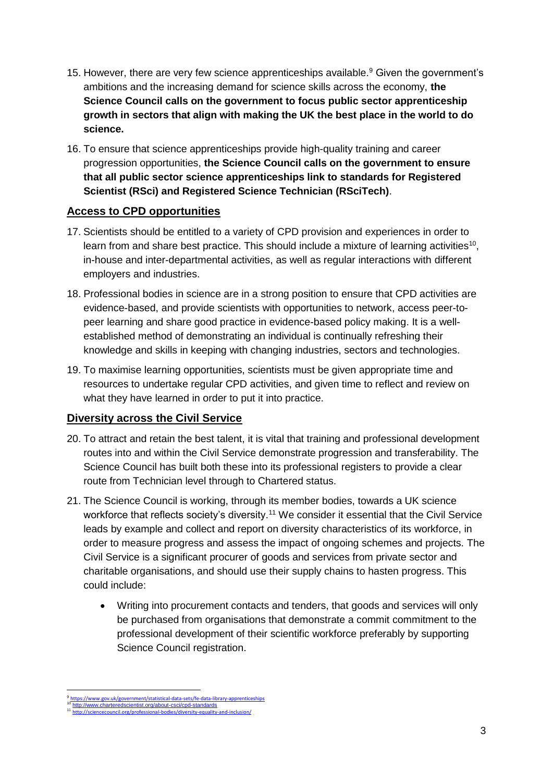- 15. However, there are very few science apprenticeships available.<sup>9</sup> Given the government's ambitions and the increasing demand for science skills across the economy, **the Science Council calls on the government to focus public sector apprenticeship growth in sectors that align with making the UK the best place in the world to do science.**
- 16. To ensure that science apprenticeships provide high-quality training and career progression opportunities, **the Science Council calls on the government to ensure that all public sector science apprenticeships link to standards for Registered Scientist (RSci) and Registered Science Technician (RSciTech)**.

### **Access to CPD opportunities**

- 17. Scientists should be entitled to a variety of CPD provision and experiences in order to learn from and share best practice. This should include a mixture of learning activities<sup>10</sup>, in-house and inter-departmental activities, as well as regular interactions with different employers and industries.
- 18. Professional bodies in science are in a strong position to ensure that CPD activities are evidence-based, and provide scientists with opportunities to network, access peer-topeer learning and share good practice in evidence-based policy making. It is a wellestablished method of demonstrating an individual is continually refreshing their knowledge and skills in keeping with changing industries, sectors and technologies.
- 19. To maximise learning opportunities, scientists must be given appropriate time and resources to undertake regular CPD activities, and given time to reflect and review on what they have learned in order to put it into practice.

### **Diversity across the Civil Service**

- 20. To attract and retain the best talent, it is vital that training and professional development routes into and within the Civil Service demonstrate progression and transferability. The Science Council has built both these into its professional registers to provide a clear route from Technician level through to Chartered status.
- 21. The Science Council is working, through its member bodies, towards a UK science workforce that reflects society's diversity.<sup>11</sup> We consider it essential that the Civil Service leads by example and collect and report on diversity characteristics of its workforce, in order to measure progress and assess the impact of ongoing schemes and projects. The Civil Service is a significant procurer of goods and services from private sector and charitable organisations, and should use their supply chains to hasten progress. This could include:
	- Writing into procurement contacts and tenders, that goods and services will only be purchased from organisations that demonstrate a commit commitment to the professional development of their scientific workforce preferably by supporting Science Council registration.

**<sup>.</sup>** 9 ttps://www.gov.uk/government/statistical-data-sets/fe-data-library-apprenticeships <http://www.charteredscientist.org/about-csci/cpd-standards>

<sup>11</sup> <http://sciencecouncil.org/professional-bodies/diversity-equality-and-inclusion/>